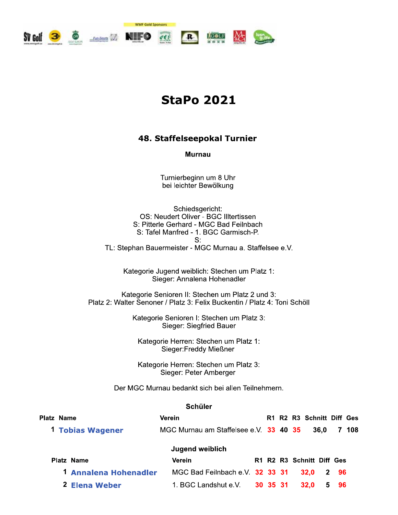

# **StaPo 2021**

## 48. Staffelseepokal Turnier

**Murnau** 

Turnierbeginn um 8 Uhr bei leichter Bewölkung

Schiedsgericht: OS: Neudert Oliver - BGC Illtertissen S: Pitterle Gerhard - MGC Bad Feilnbach S: Tafel Manfred - 1. BGC Garmisch-P.  $S:$ TL: Stephan Bauermeister - MGC Murnau a. Staffelsee e.V.

Kategorie Jugend weiblich: Stechen um Platz 1: Sieger: Annalena Hohenadler

Kategorie Senioren II: Stechen um Platz 2 und 3: Platz 2: Walter Senoner / Platz 3: Felix Buckentin / Platz 4: Toni Schöll

> Kategorie Senioren I: Stechen um Platz 3: Sieger: Siegfried Bauer

Kategorie Herren: Stechen um Platz 1: Sieger: Freddy Mießner

Kategorie Herren: Stechen um Platz 3: Sieger: Peter Amberger

Der MGC Murnau bedankt sich bei allen Teilnehmern.

#### **Schüler**

| Platz Name            | <b>Verein</b>                          |          |  | R1 R2 R3 Schnitt Diff Ges |      |      |       |
|-----------------------|----------------------------------------|----------|--|---------------------------|------|------|-------|
| 1 Tobias Wagener      | MGC Murnau am Staffelsee e.V. 33 40 35 |          |  |                           | 36.0 |      | 7 108 |
|                       | Jugend weiblich                        |          |  |                           |      |      |       |
| Platz Name            | Verein                                 |          |  | R1 R2 R3 Schnitt Diff Ges |      |      |       |
| 1 Annalena Hohenadler | MGC Bad Feilnbach e.V. 32 33 31        |          |  | 32.0                      |      | 2 96 |       |
| 2 Elena Weber         | 1. BGC Landshut e.V.                   | 30 35 31 |  | 32.0                      |      | 5 96 |       |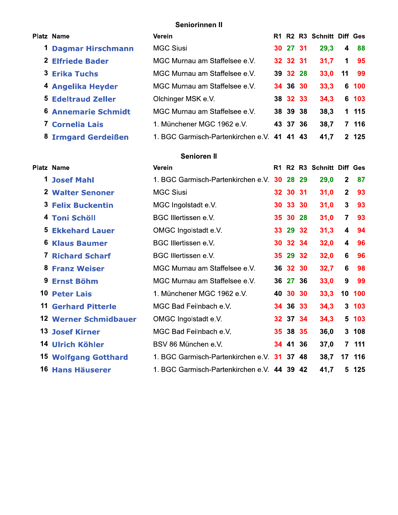# Seniorinnen II

| Platz Name                 | Verein                                      |          | R1 R2 R3 Schnitt Diff Ges |             |       |
|----------------------------|---------------------------------------------|----------|---------------------------|-------------|-------|
| 1 Dagmar Hirschmann        | <b>MGC Siusi</b>                            | 30 27 31 | 29,3                      | 4           | 88    |
| <b>2 Elfriede Bader</b>    | MGC Murnau am Staffelsee e.V.               | 32 32 31 | 31,7                      | $\mathbf 1$ | 95    |
| <b>3 Erika Tuchs</b>       | MGC Murnau am Staffelsee e.V.               | 39 32 28 | 33,0                      | 11          | -99   |
| 4 Angelika Heyder          | MGC Murnau am Staffelsee e.V.               | 34 36 30 | 33,3                      |             | 6 100 |
| <b>5 Edeltraud Zeller</b>  | Olchinger MSK e.V.                          | 38 32 33 | 34,3                      |             | 6 103 |
| <b>6 Annemarie Schmidt</b> | MGC Murnau am Staffelsee e.V.               | 38 39 38 | 38,3                      |             | 1 115 |
| 7 Cornelia Lais            | 1. Münchener MGC 1962 e.V.                  | 43 37 36 | 38,7                      |             | 7 116 |
| 8 Irmgard Gerdeißen        | 1. BGC Garmisch-Partenkirchen e.V. 41 41 43 |          | 41,7                      |             | 2 125 |
|                            | <b>Senioren II</b>                          |          |                           |             |       |
| <b>Platz Name</b>          | Verein                                      |          | R1 R2 R3 Schnitt Diff Ges |             |       |

|    | IAL NAILE                    | <b>AGIGIII</b>                              |          | NI NA NJ JUHINI DIN GES |                  |                  |
|----|------------------------------|---------------------------------------------|----------|-------------------------|------------------|------------------|
|    | <b>1 Josef Mahl</b>          | 1. BGC Garmisch-Partenkirchen e.V. 30 28 29 |          | 29,0                    | $\mathbf{2}$     | 87               |
|    | 2 Walter Senoner             | <b>MGC Siusi</b>                            | 32 30 31 | 31,0                    | 2 <sup>2</sup>   | 93               |
|    | <b>3 Felix Buckentin</b>     | MGC Ingolstadt e.V.                         | 30 33 30 | 31,0                    | $\mathbf{3}$     | 93               |
| 4  | <b>Toni Schöll</b>           | <b>BGC Illertissen e.V.</b>                 | 35 30 28 | 31,0                    | $\overline{7}$   | 93               |
| 5  | <b>Ekkehard Lauer</b>        | OMGC Ingolstadt e.V.                        | 33 29 32 | 31,3                    | 4                | 94               |
| 6  | <b>Klaus Baumer</b>          | BGC Illertissen e.V.                        | 30 32 34 | 32,0                    | 4                | 96               |
|    | <b>7 Richard Scharf</b>      | BGC Illertissen e.V.                        | 35 29 32 | 32,0                    | 6                | 96               |
| 8. | <b>Franz Weiser</b>          | MGC Murnau am Staffelsee e.V.               | 36 32 30 | 32,7                    | 6                | 98               |
| 9  | <b>Ernst Böhm</b>            | MGC Murnau am Staffelsee e.V.               | 36 27 36 | 33,0                    | $\boldsymbol{9}$ | 99               |
|    | <b>10 Peter Lais</b>         | 1. Münchener MGC 1962 e.V.                  | 40 30 30 | 33,3                    |                  | 10 100           |
| 11 | <b>Gerhard Pitterle</b>      | MGC Bad Feilnbach e.V.                      | 34 36 33 | 34,3                    |                  | 3 <sub>103</sub> |
|    | <b>12 Werner Schmidbauer</b> | OMGC Ingolstadt e.V.                        | 32 37 34 | 34,3                    |                  | 5 103            |
|    | <b>13 Josef Kirner</b>       | MGC Bad Feilnbach e.V.                      | 35 38 35 | 36,0                    |                  | 3 108            |
|    | 14 Ulrich Köhler             | BSV 86 München e.V.                         | 34 41 36 | 37,0                    |                  | 7 111            |
|    | <b>15 Wolfgang Gotthard</b>  | 1. BGC Garmisch-Partenkirchen e.V. 31 37 48 |          | 38,7                    |                  | 17 116           |
|    | 16 Hans Häuserer             | 1. BGC Garmisch-Partenkirchen e.V. 44 39 42 |          | 41,7                    |                  | 5 125            |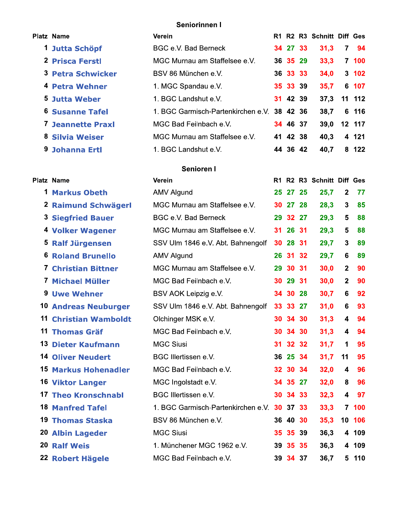## Seniorinnen I

|    | <b>Platz Name</b>           | <b>Verein</b>                               |    |          |    | R1 R2 R3 Schnitt Diff Ges |                         |        |
|----|-----------------------------|---------------------------------------------|----|----------|----|---------------------------|-------------------------|--------|
| 1  | Jutta Schöpf                | BGC e.V. Bad Berneck                        |    | 34 27 33 |    | 31,3                      | $\overline{7}$          | 94     |
|    | <b>2 Prisca Ferstl</b>      | MGC Murnau am Staffelsee e.V.               |    | 36 35 29 |    | 33,3                      |                         | 7 100  |
|    | <b>3 Petra Schwicker</b>    | BSV 86 München e.V.                         |    | 36 33 33 |    | 34,0                      |                         | 3 102  |
|    | 4 Petra Wehner              | 1. MGC Spandau e.V.                         |    | 35 33 39 |    | 35,7                      |                         | 6 107  |
|    | <b>5 Jutta Weber</b>        | 1. BGC Landshut e.V.                        |    | 31 42 39 |    | 37,3                      | 11                      | 112    |
| 6. | <b>Susanne Tafel</b>        | 1. BGC Garmisch-Partenkirchen e.V.          |    | 38 42 36 |    | 38,7                      | 6                       | 116    |
|    | <b>7 Jeannette Praxl</b>    | MGC Bad Feilnbach e.V.                      |    | 34 46 37 |    | 39,0                      | 12 <sub>2</sub>         | 117    |
|    | 8 Silvia Weiser             | MGC Murnau am Staffelsee e.V.               |    | 41 42 38 |    | 40,3                      |                         | 4 121  |
| 9. | <b>Johanna Ertl</b>         | 1. BGC Landshut e.V.                        |    | 44 36 42 |    | 40,7                      |                         | 8 122  |
|    |                             | Senioren I                                  |    |          |    |                           |                         |        |
|    | <b>Platz Name</b>           | Verein                                      |    |          |    | R1 R2 R3 Schnitt Diff Ges |                         |        |
| 1  | <b>Markus Obeth</b>         | <b>AMV Algund</b>                           |    | 25 27 25 |    | 25,7                      | $\mathbf{2}$            | 77     |
|    | 2 Raimund Schwägerl         | MGC Murnau am Staffelsee e.V.               | 30 | 27 28    |    | 28,3                      | 3                       | 85     |
|    | <b>3 Siegfried Bauer</b>    | BGC e.V. Bad Berneck                        | 29 | 32 27    |    | 29,3                      | $5\phantom{.0}$         | 88     |
|    | 4 Volker Wagener            | MGC Murnau am Staffelsee e.V.               |    | 31 26 31 |    | 29,3                      | $\overline{\mathbf{5}}$ | 88     |
|    | 5 Ralf Jürgensen            | SSV Ulm 1846 e.V. Abt. Bahnengolf           | 30 | 28       | 31 | 29,7                      | 3                       | 89     |
|    | <b>6 Roland Brunello</b>    | <b>AMV Algund</b>                           | 26 | 31       | 32 | 29,7                      | 6                       | 89     |
|    | <b>7 Christian Bittner</b>  | MGC Murnau am Staffelsee e.V.               | 29 | 30 31    |    | 30,0                      | $\mathbf{2}$            | 90     |
|    | 7 Michael Müller            | MGC Bad Feilnbach e.V.                      |    | 30 29 31 |    | 30,0                      | $\mathbf{2}$            | 90     |
|    | <b>9 Uwe Wehner</b>         | BSV AOK Leipzig e.V.                        |    | 34 30 28 |    | 30,7                      | 6                       | 92     |
|    | <b>10 Andreas Neuburger</b> | SSV Ulm 1846 e.V. Abt. Bahnengolf           |    | 33 33 27 |    | 31,0                      | 6                       | 93     |
| 11 | <b>Christian Wamboldt</b>   | Olchinger MSK e.V.                          | 30 | 34 30    |    | 31,3                      | $\overline{\mathbf{4}}$ | 94     |
|    | <b>11 Thomas Gräf</b>       | MGC Bad Feilnbach e.V.                      |    | 30 34 30 |    | 31,3                      | 4                       | 94     |
|    | 13 Dieter Kaufmann          | <b>MGC Siusi</b>                            |    | 31 32 32 |    | 31,7                      | 1                       | 95     |
|    | <b>14 Oliver Neudert</b>    | <b>BGC Illertissen e.V.</b>                 |    | 36 25 34 |    | 31,7                      | 11                      | 95     |
|    | <b>15 Markus Hohenadler</b> | MGC Bad Feilnbach e.V.                      |    | 32 30 34 |    | 32,0                      | 4                       | 96     |
|    | <b>16 Viktor Langer</b>     | MGC Ingolstadt e.V.                         |    | 34 35 27 |    | 32,0                      | 8                       | 96     |
|    | <b>17 Theo Kronschnabl</b>  | <b>BGC Illertissen e.V.</b>                 |    | 30 34 33 |    | 32,3                      | 4                       | 97     |
|    | <b>18 Manfred Tafel</b>     | 1. BGC Garmisch-Partenkirchen e.V. 30 37 33 |    |          |    | 33,3                      |                         | 7 100  |
|    | <b>19 Thomas Staska</b>     | BSV 86 München e.V.                         |    | 36 40 30 |    | 35,3                      |                         | 10 106 |
|    | <b>20 Albin Lageder</b>     | <b>MGC Siusi</b>                            |    | 35 35 39 |    | 36,3                      |                         | 4 109  |
|    | <b>20 Ralf Weis</b>         | 1. Münchener MGC 1962 e.V.                  |    | 39 35 35 |    | 36,3                      |                         | 4 109  |
|    | 22 Robert Hägele            | MGC Bad Feilnbach e.V.                      |    | 39 34 37 |    | 36,7                      |                         | 5 110  |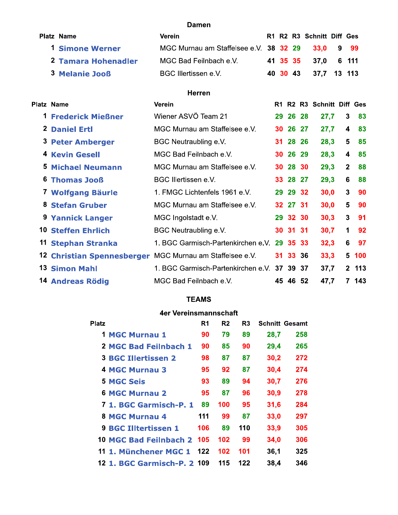#### **Damen**

| <b>Platz Name</b>      | Verein                                           |  | R1 R2 R3 Schnitt Diff Ges |  |
|------------------------|--------------------------------------------------|--|---------------------------|--|
| <b>1 Simone Werner</b> | MGC Murnau am Staffelsee e.V. 38 32 29 33,0 9 99 |  |                           |  |
| 2 Tamara Hohenadler    | MGC Bad Feilnbach e.V.                           |  | 41 35 35 37,0 6 111       |  |
| <b>3 Melanie Jooß</b>  | BGC Illertissen e.V.                             |  | 40 30 43 37,7 13 113      |  |

## Herren

|    | <b>Platz Name</b>                 | Verein                                      |          |    | R1 R2 R3 Schnitt Diff Ges |                |       |
|----|-----------------------------------|---------------------------------------------|----------|----|---------------------------|----------------|-------|
|    | <b>1 Frederick Mießner</b>        | Wiener ASVÖ Team 21                         | 29 26 28 |    | 27,7                      | $\mathbf{3}$   | 83    |
|    | 2 Daniel Ertl                     | MGC Murnau am Staffelsee e.V.               | 30 26 27 |    | 27,7                      | 4              | 83    |
|    | <b>3 Peter Amberger</b>           | BGC Neutraubling e.V.                       | 31 28 26 |    | 28,3                      | 5              | 85    |
|    | <b>4 Kevin Gesell</b>             | MGC Bad Feilnbach e.V.                      | 30 26 29 |    | 28,3                      | 4              | 85    |
|    | <b>5 Michael Neumann</b>          | MGC Murnau am Staffelsee e.V.               | 30 28 30 |    | 29,3                      | $\overline{2}$ | 88    |
| 6. | <b>Thomas Jooß</b>                | BGC Illertissen e.V.                        | 33 28 27 |    | 29,3                      | 6              | 88    |
|    | 7 Wolfgang Bäurle                 | 1. FMGC Lichtenfels 1961 e.V.               | 29 29 32 |    | 30,0                      | $\mathbf{3}$   | 90    |
| 8. | <b>Stefan Gruber</b>              | MGC Murnau am Staffelsee e.V.               | 32 27 31 |    | 30,0                      | 5              | 90    |
|    | 9 Yannick Langer                  | MGC Ingolstadt e.V.                         | 29 32 30 |    | 30,3                      | $\mathbf{3}$   | -91   |
|    | <b>10 Steffen Ehrlich</b>         | <b>BGC Neutraubling e.V.</b>                | 30 31 31 |    | 30,7                      | 1              | 92    |
|    | 11 Stephan Stranka                | 1. BGC Garmisch-Partenkirchen e.V. 29 35 33 |          |    | 32,3                      | 6              | 97    |
|    | <b>12 Christian Spennesberger</b> | MGC Murnau am Staffelsee e.V.               | 31 33 36 |    | 33,3                      |                | 5 100 |
|    | <b>13 Simon Mahl</b>              | 1. BGC Garmisch-Partenkirchen e.V. 37 39 37 |          |    | 37,7                      |                | 2 113 |
|    | 14 Andreas Rödig                  | MGC Bad Feilnbach e.V.                      | 45 46    | 52 | 47,7                      |                | 7 143 |

## **TEAMS**

## 4er Vereinsmannschaft

| <b>Platz</b>                | R <sub>1</sub> | R <sub>2</sub> | R <sub>3</sub> |      | <b>Schnitt Gesamt</b> |
|-----------------------------|----------------|----------------|----------------|------|-----------------------|
| <b>1 MGC Murnau 1</b>       | 90             | 79             | 89             | 28,7 | 258                   |
| 2 MGC Bad Feilnbach 1       | 90             | 85             | 90             | 29,4 | 265                   |
| <b>3 BGC Illertissen 2</b>  | 98             | 87             | 87             | 30,2 | 272                   |
| 4 MGC Murnau 3              | 95             | 92             | 87             | 30,4 | 274                   |
| <b>5 MGC Seis</b>           | 93             | 89             | 94             | 30,7 | 276                   |
| 6 MGC Murnau 2              | 95             | 87             | 96             | 30,9 | 278                   |
| 7 1. BGC Garmisch-P. 1      | 89             | 100            | 95             | 31,6 | 284                   |
| <b>8 MGC Murnau 4</b>       | 111            | 99             | 87             | 33,0 | 297                   |
| <b>9 BGC Illtertissen 1</b> | 106            | 89             | 110            | 33,9 | 305                   |
| 10 MGC Bad Feilnbach 2      | 105            | 102            | 99             | 34,0 | 306                   |
| 11 1. Münchener MGC 1       | 122            | 102            | 101            | 36.1 | 325                   |
| 12 1. BGC Garmisch-P. 2 109 |                | 115            | 122            | 38,4 | 346                   |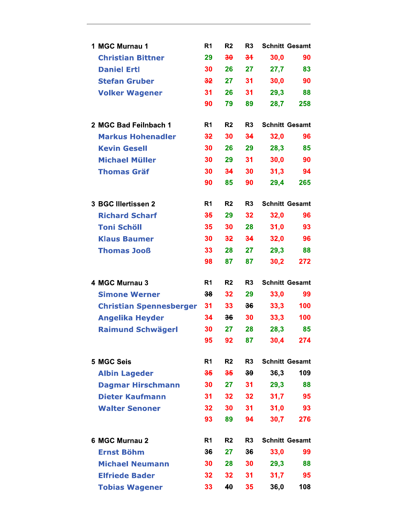| 1 MGC Murnau 1                 | R <sub>1</sub>  | R <sub>2</sub>  | R <sub>3</sub>  |      | <b>Schnitt Gesamt</b> |
|--------------------------------|-----------------|-----------------|-----------------|------|-----------------------|
| <b>Christian Bittner</b>       | 29              | 30              | 34              | 30,0 | 90                    |
| <b>Daniel Ertl</b>             | 30              | 26              | 27              | 27,7 | 83                    |
| <b>Stefan Gruber</b>           | 32              | 27              | 31              | 30,0 | 90                    |
| <b>Volker Wagener</b>          | 31              | 26              | 31              | 29,3 | 88                    |
|                                | 90              | 79              | 89              | 28,7 | 258                   |
| 2 MGC Bad Feilnbach 1          | R1              | R <sub>2</sub>  | R <sub>3</sub>  |      | <b>Schnitt Gesamt</b> |
| <b>Markus Hohenadler</b>       | 32              | 30              | 34              | 32,0 | 96                    |
| <b>Kevin Gesell</b>            | 30              | 26              | 29              | 28,3 | 85                    |
| <b>Michael Müller</b>          | 30              | 29              | 31              | 30,0 | 90                    |
| <b>Thomas Gräf</b>             | 30              | 34              | 30              | 31,3 | 94                    |
|                                | 90              | 85              | 90              | 29,4 | 265                   |
| 3 BGC Illertissen 2            | R <sub>1</sub>  | R <sub>2</sub>  | R <sub>3</sub>  |      | <b>Schnitt Gesamt</b> |
| <b>Richard Scharf</b>          | 35              | 29              | 32              | 32,0 | 96                    |
| <b>Toni Schöll</b>             | 35              | 30              | 28              | 31,0 | 93                    |
| <b>Klaus Baumer</b>            | 30              | 32              | 34              | 32,0 | 96                    |
| <b>Thomas Jooß</b>             | 33              | 28              | 27              | 29,3 | 88                    |
|                                | 98              | 87              | 87              | 30,2 | 272                   |
| 4 MGC Murnau 3                 | R <sub>1</sub>  | R <sub>2</sub>  | R <sub>3</sub>  |      | <b>Schnitt Gesamt</b> |
| <b>Simone Werner</b>           | 38              | 32              | 29              | 33,0 | 99                    |
| <b>Christian Spennesberger</b> | 31              | 33              | 36              | 33,3 | 100                   |
| <b>Angelika Heyder</b>         | 34              | 36              | 30              | 33,3 | 100                   |
| <b>Raimund Schwägerl</b>       | 30              | 27              | 28              | 28,3 | 85                    |
|                                | 95              | 92              | 87              | 30,4 | 274                   |
| 5 MGC Seis                     | R1              | R2              | R <sub>3</sub>  |      | <b>Schnitt Gesamt</b> |
| <b>Albin Lageder</b>           | 35              | 35              | 39 <sub>o</sub> | 36,3 | 109                   |
| <b>Dagmar Hirschmann</b>       | 30              | 27              | 31              | 29,3 | 88                    |
| <b>Dieter Kaufmann</b>         | 31              | 32 <sub>2</sub> | 32 <sub>2</sub> | 31,7 | 95                    |
| <b>Walter Senoner</b>          | 32 <sub>2</sub> | 30 <sup>°</sup> | 31              | 31,0 | 93                    |
|                                | 93              | 89              | 94              | 30,7 | 276                   |
| 6 MGC Murnau 2                 | R <sub>1</sub>  | R <sub>2</sub>  | R <sub>3</sub>  |      | <b>Schnitt Gesamt</b> |
| <b>Ernst Böhm</b>              | 36              | 27              | 36              | 33,0 | 99                    |
| <b>Michael Neumann</b>         | 30              | 28              | 30              | 29,3 | 88                    |
| <b>Elfriede Bader</b>          | 32              | 32              | 31              | 31,7 | 95                    |
| <b>Tobias Wagener</b>          | 33              | 40              | 35              | 36,0 | 108                   |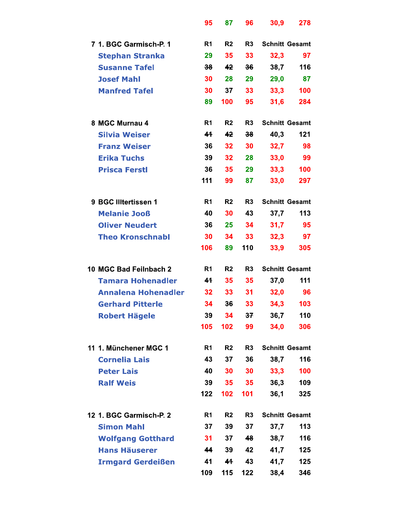|                            | 95              | 87             | 96             | 30,9 | 278                   |
|----------------------------|-----------------|----------------|----------------|------|-----------------------|
| 7 1. BGC Garmisch-P. 1     | R1              | R <sub>2</sub> | R <sub>3</sub> |      | <b>Schnitt Gesamt</b> |
| <b>Stephan Stranka</b>     | 29              | 35             | 33             | 32,3 | 97                    |
| <b>Susanne Tafel</b>       | 38 <sub>0</sub> | 42             | 36             | 38,7 | 116                   |
| <b>Josef Mahl</b>          | 30              | 28             | 29             | 29,0 | 87                    |
| <b>Manfred Tafel</b>       | 30              | 37             | 33             | 33,3 | 100                   |
|                            | 89              | 100            | 95             | 31,6 | 284                   |
| 8 MGC Murnau 4             | R <sub>1</sub>  | R <sub>2</sub> | R <sub>3</sub> |      | <b>Schnitt Gesamt</b> |
| <b>Silvia Weiser</b>       | 41              | 42             | 38             | 40,3 | 121                   |
| <b>Franz Weiser</b>        | 36              | 32             | 30             | 32,7 | 98                    |
| <b>Erika Tuchs</b>         | 39              | 32             | 28             | 33,0 | 99                    |
| <b>Prisca Ferstl</b>       | 36              | 35             | 29             | 33,3 | 100                   |
|                            | 111             | 99             | 87             | 33,0 | 297                   |
| 9 BGC Illtertissen 1       | R <sub>1</sub>  | R <sub>2</sub> | R <sub>3</sub> |      | <b>Schnitt Gesamt</b> |
| <b>Melanie Jooß</b>        | 40              | 30             | 43             | 37,7 | 113                   |
| <b>Oliver Neudert</b>      | 36              | 25             | 34             | 31,7 | 95                    |
| <b>Theo Kronschnabl</b>    | 30              | 34             | 33             | 32,3 | 97                    |
|                            | 106             | 89             | 110            | 33,9 | 305                   |
| 10 MGC Bad Feilnbach 2     | R <sub>1</sub>  | R <sub>2</sub> | R <sub>3</sub> |      | <b>Schnitt Gesamt</b> |
| <b>Tamara Hohenadler</b>   | 41              | 35             | 35             | 37,0 | 111                   |
| <b>Annalena Hohenadler</b> | 32              | 33             | 31             | 32,0 | 96                    |
| <b>Gerhard Pitterle</b>    | 34              | 36             | 33             | 34,3 | 103                   |
| <b>Robert Hägele</b>       | 39              | 34             | 37             | 36,7 | 110                   |
|                            | 105             | 102            | 99             | 34,0 | 306                   |
| 11 1. Münchener MGC 1      | R <sub>1</sub>  | R <sub>2</sub> | R <sub>3</sub> |      | <b>Schnitt Gesamt</b> |
| <b>Cornelia Lais</b>       | 43              | 37             | 36             | 38,7 | 116                   |
| <b>Peter Lais</b>          | 40              | 30             | 30             | 33,3 | 100                   |
| <b>Ralf Weis</b>           | 39              | 35             | 35             | 36,3 | 109                   |
|                            | 122             | 102            | 101            | 36,1 | 325                   |
| 12 1. BGC Garmisch-P. 2    | R <sub>1</sub>  | R <sub>2</sub> | R <sub>3</sub> |      | <b>Schnitt Gesamt</b> |
| <b>Simon Mahl</b>          | 37              | 39             | 37             | 37,7 | 113                   |
| <b>Wolfgang Gotthard</b>   | 31              | 37             | 48             | 38,7 | 116                   |
| <b>Hans Häuserer</b>       | 44              | 39             | 42             | 41,7 | 125                   |
| <b>Irmgard Gerdeißen</b>   | 41              | 41             | 43             | 41,7 | 125                   |
|                            | 109             | 115            | 122            | 38,4 | 346                   |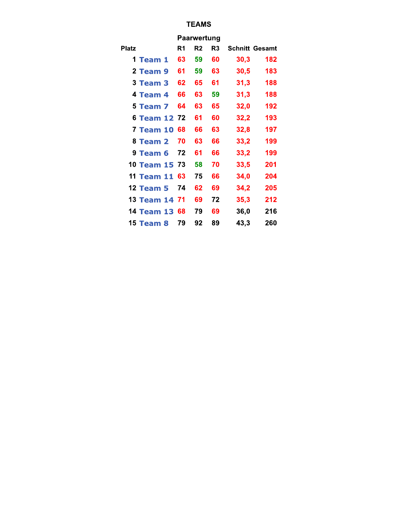## **TEAMS**

|                  | <b>Paarwertung</b> |                |                |                       |     |  |  |  |  |  |  |
|------------------|--------------------|----------------|----------------|-----------------------|-----|--|--|--|--|--|--|
| Platz            | R1                 | R <sub>2</sub> | R <sub>3</sub> | <b>Schnitt Gesamt</b> |     |  |  |  |  |  |  |
| 1 Team 1         | 63                 | 59             | 60             | 30,3                  | 182 |  |  |  |  |  |  |
| 2 Team 9         | 61                 | 59             | 63             | 30,5                  | 183 |  |  |  |  |  |  |
| 3 Team 3         | 62                 | 65             | 61             | 31,3                  | 188 |  |  |  |  |  |  |
| 4 Team 4         | 66                 | 63             | 59             | 31,3                  | 188 |  |  |  |  |  |  |
| 5 Team 7         | 64                 | 63             | 65             | 32,0                  | 192 |  |  |  |  |  |  |
| 6 Team 12        | 72                 | 61             | 60             | 32,2                  | 193 |  |  |  |  |  |  |
| 7 Team 10        | 68                 | 66             | 63             | 32,8                  | 197 |  |  |  |  |  |  |
| 8 Team 2         | 70                 | 63             | 66             | 33,2                  | 199 |  |  |  |  |  |  |
| 9 Team 6         | 72                 | 61             | 66             | 33,2                  | 199 |  |  |  |  |  |  |
| 10 Team 15       | 73                 | 58             | 70             | 33,5                  | 201 |  |  |  |  |  |  |
| 11 Team 11       | 63                 | 75             | 66             | 34,0                  | 204 |  |  |  |  |  |  |
| <b>12 Team 5</b> | 74                 | 62             | 69             | 34,2                  | 205 |  |  |  |  |  |  |
| 13 Team 14 71    |                    | 69             | 72             | 35,3                  | 212 |  |  |  |  |  |  |
| 14 Team 13       | 68                 | 79             | 69             | 36,0                  | 216 |  |  |  |  |  |  |
| 15 Team 8        | 79                 | 92             | 89             | 43,3                  | 260 |  |  |  |  |  |  |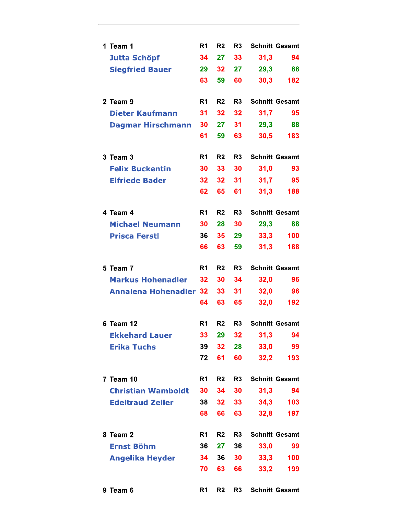| 1 Team 1                      | R <sub>1</sub> | R <sub>2</sub>  | R <sub>3</sub>  |      | <b>Schnitt Gesamt</b> |
|-------------------------------|----------------|-----------------|-----------------|------|-----------------------|
| <b>Jutta Schöpf</b>           | 34             | 27              | 33              | 31,3 | 94                    |
| <b>Siegfried Bauer</b>        | 29             | 32              | 27 <sub>2</sub> | 29,3 | 88                    |
|                               | 63             | 59              | 60              | 30.3 | 182                   |
| 2 Team 9                      | R <sub>1</sub> | R <sub>2</sub>  | R <sub>3</sub>  |      | <b>Schnitt Gesamt</b> |
| <b>Dieter Kaufmann</b>        | 31             | 32              | 32              | 31,7 | 95                    |
| <b>Dagmar Hirschmann</b>      | 30             | 27              | 31              | 29,3 | 88                    |
|                               | 61             | 59              | 63              | 30,5 | 183                   |
| 3 Team 3                      | R <sub>1</sub> | R <sub>2</sub>  | R <sub>3</sub>  |      | <b>Schnitt Gesamt</b> |
| <b>Felix Buckentin</b>        | 30             | 33              | 30              | 31,0 | 93                    |
| <b>Elfriede Bader</b>         | 32             | 32              | 31              | 31,7 | 95                    |
|                               | 62             | 65              | 61              | 31,3 | 188                   |
| 4 Team 4                      | R <sub>1</sub> | R <sub>2</sub>  | R <sub>3</sub>  |      | <b>Schnitt Gesamt</b> |
| <b>Michael Neumann</b>        | 30             | 28              | 30              | 29,3 | 88                    |
| <b>Prisca Ferstl</b>          | 36             | 35              | 29              | 33,3 | 100                   |
|                               | 66             | 63              | 59              | 31,3 | 188                   |
| 5 Team 7                      | R <sub>1</sub> | R <sub>2</sub>  | R <sub>3</sub>  |      | <b>Schnitt Gesamt</b> |
| <b>Markus Hohenadler</b>      | 32             | 30              | 34              | 32,0 | 96                    |
| <b>Annalena Hohenadler 32</b> |                | 33              | 31              | 32,0 | 96                    |
|                               | 64             | 63              | 65              | 32,0 | 192                   |
| 6 Team 12                     | R1             | R <sub>2</sub>  | R <sub>3</sub>  |      | <b>Schnitt Gesamt</b> |
| <b>Ekkehard Lauer</b>         | 33             | 29              | 32              | 31,3 | 94                    |
| <b>Erika Tuchs</b>            | 39             | 32 <sub>2</sub> | 28              | 33,0 | 99                    |
|                               | 72             | 61              | 60              | 32,2 | 193                   |
| <b>7 Team 10</b>              | R <sub>1</sub> | R <sub>2</sub>  | R <sub>3</sub>  |      | <b>Schnitt Gesamt</b> |
| <b>Christian Wamboldt</b>     | 30             | 34              | 30              | 31,3 | 94                    |
| <b>Edeltraud Zeller</b>       | 38             | 32 <sub>2</sub> | 33 <sup>2</sup> | 34,3 | 103                   |
|                               | 68             | 66              | 63              | 32,8 | 197                   |
| 8 Team 2                      | R <sub>1</sub> | R <sub>2</sub>  | R <sub>3</sub>  |      | <b>Schnitt Gesamt</b> |
| <b>Ernst Böhm</b>             | 36             | 27              | 36              | 33,0 | 99                    |
| <b>Angelika Heyder</b>        | 34             | 36 <sup>°</sup> | 30              | 33,3 | 100                   |
|                               | 70             | 63              | 66              | 33,2 | 199                   |
| 9 Team 6                      | R <sub>1</sub> | R2              | R <sub>3</sub>  |      | <b>Schnitt Gesamt</b> |